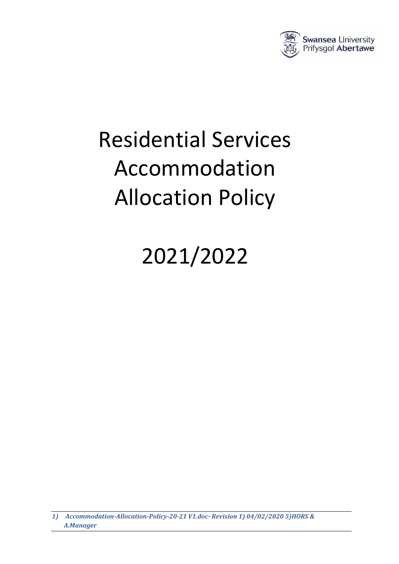

# Residential Services Accommodation Allocation Policy

## 2021/2022

*1) Accommodation-Allocation-Policy-20-21 V1.doc- Revision 1) 04/02/2020 5)HORS & A.Manager*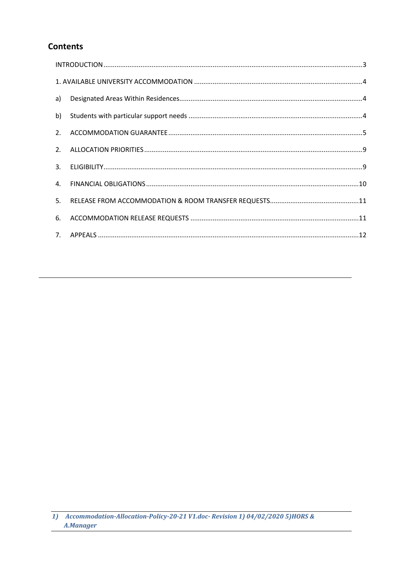## **Contents**

| a) |  |  |
|----|--|--|
| b) |  |  |
| 2. |  |  |
| 2. |  |  |
|    |  |  |
| 4. |  |  |
| 5. |  |  |
| 6. |  |  |
|    |  |  |

<sup>1)</sup> Accommodation-Allocation-Policy-20-21 V1.doc-Revision 1) 04/02/2020 5)HORS & A.Manager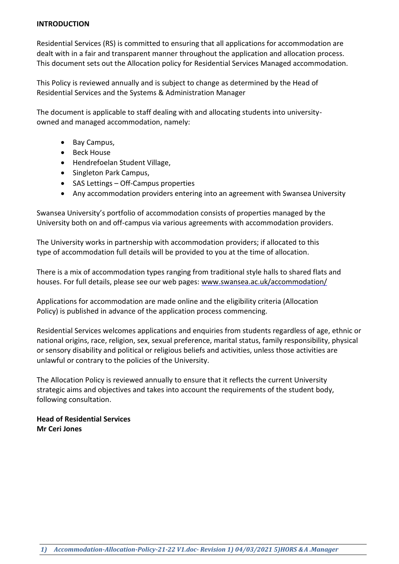#### <span id="page-2-0"></span>**INTRODUCTION**

Residential Services (RS) is committed to ensuring that all applications for accommodation are dealt with in a fair and transparent manner throughout the application and allocation process. This document sets out the Allocation policy for Residential Services Managed accommodation.

This Policy is reviewed annually and is subject to change as determined by the Head of Residential Services and the Systems & Administration Manager

The document is applicable to staff dealing with and allocating students into universityowned and managed accommodation, namely:

- Bay Campus,
- Beck House
- Hendrefoelan Student Village,
- Singleton Park Campus,
- SAS Lettings Off-Campus properties
- Any accommodation providers entering into an agreement with Swansea University

Swansea University's portfolio of accommodation consists of properties managed by the University both on and off-campus via various agreements with accommodation providers.

The University works in partnership with accommodation providers; if allocated to this type of accommodation full details will be provided to you at the time of allocation.

There is a mix of accommodation types ranging from traditional style halls to shared flats and houses. For full details, please see our web pages: [www.swansea.ac.uk/accommodation/](http://www.swansea.ac.uk/accommodation/)

Applications for accommodation are made online and the eligibility criteria (Allocation Policy) is published in advance of the application process commencing.

Residential Services welcomes applications and enquiries from students regardless of age, ethnic or national origins, race, religion, sex, sexual preference, marital status, family responsibility, physical or sensory disability and political or religious beliefs and activities, unless those activities are unlawful or contrary to the policies of the University.

The Allocation Policy is reviewed annually to ensure that it reflects the current University strategic aims and objectives and takes into account the requirements of the student body, following consultation.

**Head of Residential Services Mr Ceri Jones**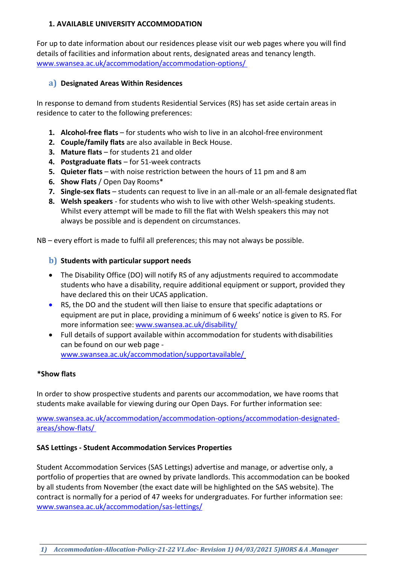#### <span id="page-3-0"></span>**1. AVAILABLE UNIVERSITY ACCOMMODATION**

For up to date information about our residences please visit our web pages where you will find details of facilities and information about rents, designated areas and tenancy length. [www.swansea.ac.uk/accommodation/accommodation-options/](http://www.swansea.ac.uk/accommodation/accommodation-options/) 

#### <span id="page-3-1"></span>**a) Designated Areas Within Residences**

In response to demand from students Residential Services (RS) has set aside certain areas in residence to cater to the following preferences:

- **1. Alcohol-free flats**  for students who wish to live in an alcohol-free environment
- **2. Couple/family flats** are also available in Beck House.
- **3. Mature flats**  for students 21 and older
- **4. Postgraduate flats** for 51-week contracts
- **5.** Quieter flats with noise restriction between the hours of 11 pm and 8 am
- **6. Show Flats** / Open Day Rooms\*
- **7. Single-sex flats**  students can request to live in an all-male or an all-female designated flat
- **8. Welsh speakers**  for students who wish to live with other Welsh-speaking students. Whilst every attempt will be made to fill the flat with Welsh speakers this may not always be possible and is dependent on circumstances.

NB – every effort is made to fulfil all preferences; this may not always be possible.

#### <span id="page-3-2"></span>**b) Students with particular support needs**

- The Disability Office (DO) will notify RS of any adjustments required to accommodate students who have a disability, require additional equipment or support, provided they have declared this on their UCAS application.
- RS, the DO and the student will then liaise to ensure that specific adaptations or equipment are put in place, providing a minimum of 6 weeks' notice is given to RS. For more information see: [www.swansea.ac.uk/disability/](https://www.swansea.ac.uk/disability/)
- Full details of support available within accommodation for students withdisabilities can be found on our web page [www.swansea.ac.uk/accommodation/supportavailable/](http://www.swansea.ac.uk/accommodation/supportavailable/)

#### **\*Show flats**

In order to show prospective students and parents our accommodation, we have rooms that students make available for viewing during our Open Days. For further information see:

[www.swansea.ac.uk/accommodation/accommodation-options/accommodation-designated](http://www.swansea.ac.uk/accommodation/accommodation-options/accommodation-designated-areas/show-flats/)[areas/show-flats/](http://www.swansea.ac.uk/accommodation/accommodation-options/accommodation-designated-areas/show-flats/) 

#### **SAS Lettings - Student Accommodation Services Properties**

Student Accommodation Services (SAS Lettings) advertise and manage, or advertise only, a portfolio of properties that are owned by private landlords. This accommodation can be booked by all students from November (the exact date will be highlighted on the SAS website). The contract is normally for a period of 47 weeks for undergraduates. For further information see: [www.swansea.ac.uk/accommodation/sas-lettings/](http://www.swansea.ac.uk/accommodation/sas-lettings/)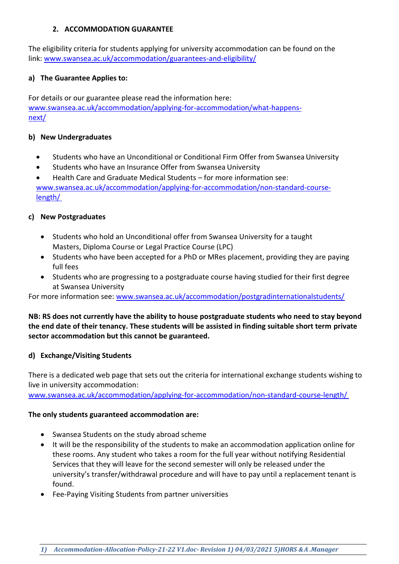#### **2. ACCOMMODATION GUARANTEE**

<span id="page-4-0"></span>The eligibility criteria for students applying for university accommodation can be found on the link: [www.swansea.ac.uk/accommodation/guarantees-and-eligibility/](http://www.swansea.ac.uk/accommodation/guarantees-and-eligibility/)

#### **a) The Guarantee Applies to:**

For details or our guarantee please read the information here: [www.swansea.ac.uk/accommodation/applying-for-accommodation/what-happens](http://www.swansea.ac.uk/accommodation/applying-for-accommodation/what-happens-next/)[next/](http://www.swansea.ac.uk/accommodation/applying-for-accommodation/what-happens-next/)

#### **b) New Undergraduates**

- Students who have an Unconditional or Conditional Firm Offer from Swansea University
- Students who have an Insurance Offer from Swansea University

• Health Care and Graduate Medical Students – for more information see: [www.swansea.ac.uk/accommodation/applying-for-accommodation/non-standard-course](http://www.swansea.ac.uk/accommodation/applying-for-accommodation/non-standard-course-length/)[length/](http://www.swansea.ac.uk/accommodation/applying-for-accommodation/non-standard-course-length/) 

#### **c) New Postgraduates**

- Students who hold an Unconditional offer from Swansea University for a taught Masters, Diploma Course or Legal Practice Course (LPC)
- Students who have been accepted for a PhD or MRes placement, providing they are paying full fees
- Students who are progressing to a postgraduate course having studied for their first degree at Swansea University

For more information see: [www.swansea.ac.uk/accommodation/postgradinternationalstudents/](http://www.swansea.ac.uk/accommodation/postgradinternationalstudents/)

#### **NB: RS does not currently have the ability to house postgraduate students who need to stay beyond the end date of their tenancy. These students will be assisted in finding suitable short term private sector accommodation but this cannot be guaranteed.**

#### **d) Exchange/Visiting Students**

There is a dedicated web page that sets out the criteria for international exchange students wishing to live in university accommodation:

[www.swansea.ac.uk/accommodation/applying-for-accommodation/non-standard-course-length/](http://www.swansea.ac.uk/accommodation/applying-for-accommodation/non-standard-course-length/) 

#### **The only students guaranteed accommodation are:**

- Swansea Students on the study abroad scheme
- It will be the responsibility of the students to make an accommodation application online for these rooms. Any student who takes a room for the full year without notifying Residential Services that they will leave for the second semester will only be released under the university's transfer/withdrawal procedure and will have to pay until a replacement tenant is found.
- Fee-Paying Visiting Students from partner universities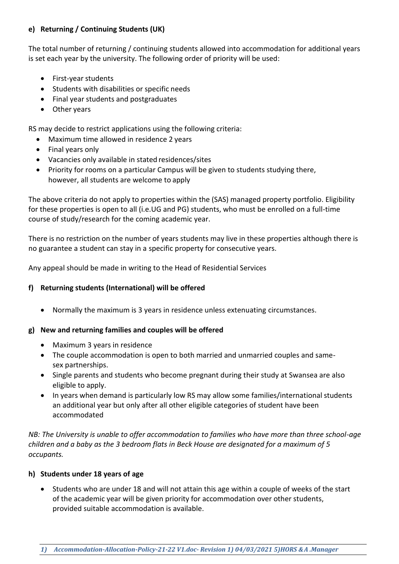#### **e) Returning / Continuing Students (UK)**

The total number of returning / continuing students allowed into accommodation for additional years is set each year by the university. The following order of priority will be used:

- First-year students
- Students with disabilities or specific needs
- Final year students and postgraduates
- Other years

RS may decide to restrict applications using the following criteria:

- Maximum time allowed in residence 2 years
- Final years only
- Vacancies only available in stated residences/sites
- Priority for rooms on a particular Campus will be given to students studying there, however, all students are welcome to apply

The above criteria do not apply to properties within the (SAS) managed property portfolio. Eligibility for these properties is open to all (i.e.UG and PG) students, who must be enrolled on a full-time course of study/research for the coming academic year.

There is no restriction on the number of years students may live in these properties although there is no guarantee a student can stay in a specific property for consecutive years.

Any appeal should be made in writing to the Head of Residential Services

#### **f) Returning students (International) will be offered**

• Normally the maximum is 3 years in residence unless extenuating circumstances.

#### **g) New and returning families and couples will be offered**

- Maximum 3 years in residence
- The couple accommodation is open to both married and unmarried couples and samesex partnerships.
- Single parents and students who become pregnant during their study at Swansea are also eligible to apply.
- In years when demand is particularly low RS may allow some families/international students an additional year but only after all other eligible categories of student have been accommodated

*NB: The University is unable to offer accommodation to families who have more than three school-age children and a baby as the 3 bedroom flats in Beck House are designated for a maximum of 5 occupants.*

#### **h) Students under 18 years of age**

• Students who are under 18 and will not attain this age within a couple of weeks of the start of the academic year will be given priority for accommodation over other students, provided suitable accommodation is available.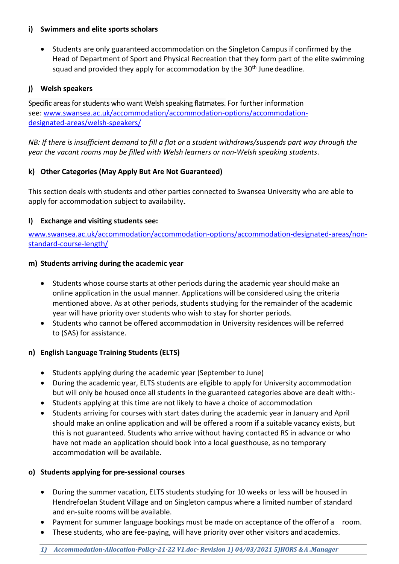#### **i) Swimmers and elite sports scholars**

• Students are only guaranteed accommodation on the Singleton Campus if confirmed by the Head of Department of Sport and Physical Recreation that they form part of the elite swimming squad and provided they apply for accommodation by the 30<sup>th</sup> June deadline.

#### **j) Welsh speakers**

Specific areas for students who want Welsh speaking flatmates. For further information see: [www.swansea.ac.uk/accommodation/accommodation-options/accommodation](http://www.swansea.ac.uk/accommodation/accommodation-options/accommodation-designated-areas/welsh-speakers/)[designated-areas/welsh-speakers/](http://www.swansea.ac.uk/accommodation/accommodation-options/accommodation-designated-areas/welsh-speakers/)

*NB: If there is insufficient demand to fill a flat or a student withdraws/suspends part way through the year the vacant rooms may be filled with Welsh learners or non-Welsh speaking students*.

#### **k) Other Categories (May Apply But Are Not Guaranteed)**

This section deals with students and other parties connected to Swansea University who are able to apply for accommodation subject to availability.

#### **l) Exchange and visiting students see:**

[www.swansea.ac.uk/accommodation/accommodation-options/accommodation-designated-areas/non](http://www.swansea.ac.uk/accommodation/accommodation-options/accommodation-designated-areas/non-standard-course-length/)[standard-course-length/](http://www.swansea.ac.uk/accommodation/accommodation-options/accommodation-designated-areas/non-standard-course-length/)

#### **m) Students arriving during the academic year**

- Students whose course starts at other periods during the academic year should make an online application in the usual manner. Applications will be considered using the criteria mentioned above. As at other periods, students studying for the remainder of the academic year will have priority over students who wish to stay for shorter periods.
- Students who cannot be offered accommodation in University residences will be referred to (SAS) for assistance.

#### **n) English Language Training Students (ELTS)**

- Students applying during the academic year (September to June)
- During the academic year, ELTS students are eligible to apply for University accommodation but will only be housed once all students in the guaranteed categories above are dealt with:-
- Students applying at this time are not likely to have a choice of accommodation
- Students arriving for courses with start dates during the academic year in January and April should make an online application and will be offered a room if a suitable vacancy exists, but this is not guaranteed. Students who arrive without having contacted RS in advance or who have not made an application should book into a local guesthouse, as no temporary accommodation will be available.

#### **o) Students applying for pre-sessional courses**

- During the summer vacation, ELTS students studying for 10 weeks or less will be housed in Hendrefoelan Student Village and on Singleton campus where a limited number of standard and en-suite rooms will be available.
- Payment for summer language bookings must be made on acceptance of the offer of a room.
- These students, who are fee-paying, will have priority over other visitors and academics.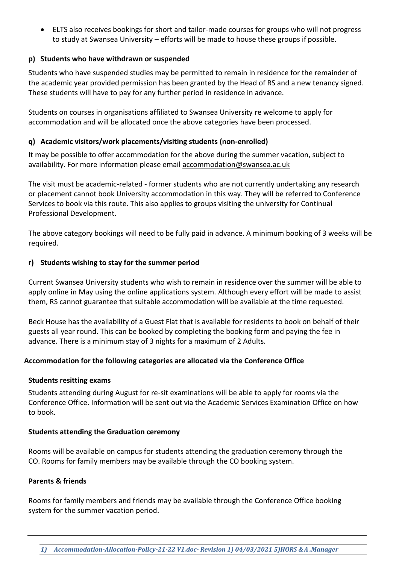• ELTS also receives bookings for short and tailor-made courses for groups who will not progress to study at Swansea University – efforts will be made to house these groups if possible.

#### **p) Students who have withdrawn or suspended**

Students who have suspended studies may be permitted to remain in residence for the remainder of the academic year provided permission has been granted by the Head of RS and a new tenancy signed. These students will have to pay for any further period in residence in advance.

Students on courses in organisations affiliated to Swansea University re welcome to apply for accommodation and will be allocated once the above categories have been processed.

#### **q) Academic visitors/work placements/visiting students (non-enrolled)**

It may be possible to offer accommodation for the above during the summer vacation, subject to availability. For more information please email [accommodation@swansea.ac.uk](mailto:accommodation@swansea.ac.uk)

The visit must be academic-related - former students who are not currently undertaking any research or placement cannot book University accommodation in this way. They will be referred to Conference Services to book via this route. This also applies to groups visiting the university for Continual Professional Development.

The above category bookings will need to be fully paid in advance. A minimum booking of 3 weeks will be required.

#### **r) Students wishing to stay for the summer period**

Current Swansea University students who wish to remain in residence over the summer will be able to apply online in May using the online applications system. Although every effort will be made to assist them, RS cannot guarantee that suitable accommodation will be available at the time requested.

Beck House has the availability of a Guest Flat that is available for residents to book on behalf of their guests all year round. This can be booked by completing the booking form and paying the fee in advance. There is a minimum stay of 3 nights for a maximum of 2 Adults.

#### **Accommodation for the following categories are allocated via the Conference Office**

#### **Students resitting exams**

Students attending during August for re-sit examinations will be able to apply for rooms via the Conference Office. Information will be sent out via the Academic Services Examination Office on how to book.

#### **Students attending the Graduation ceremony**

Rooms will be available on campus for students attending the graduation ceremony through the CO. Rooms for family members may be available through the CO booking system.

#### **Parents & friends**

Rooms for family members and friends may be available through the Conference Office booking system for the summer vacation period.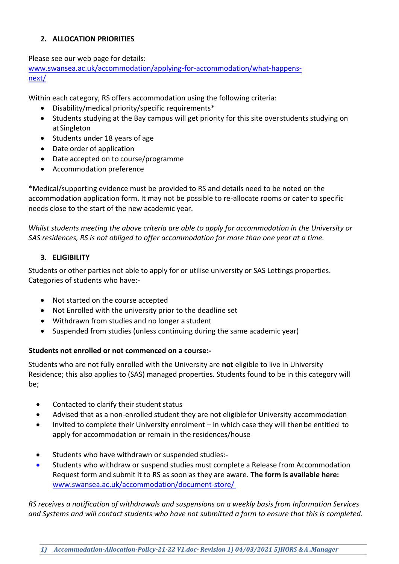#### <span id="page-8-0"></span>**2. ALLOCATION PRIORITIES**

Please see our web page for details: [www.swansea.ac.uk/accommodation/applying-for-accommodation/what-happens](http://www.swansea.ac.uk/accommodation/applying-for-accommodation/what-happens-next/)[next/](http://www.swansea.ac.uk/accommodation/applying-for-accommodation/what-happens-next/)

Within each category, RS offers accommodation using the following criteria:

- Disability/medical priority/specific requirements\*
- Students studying at the Bay campus will get priority for this site overstudents studying on at Singleton
- Students under 18 years of age
- Date order of application
- Date accepted on to course/programme
- Accommodation preference

\*Medical/supporting evidence must be provided to RS and details need to be noted on the accommodation application form. It may not be possible to re-allocate rooms or cater to specific needs close to the start of the new academic year.

*Whilst students meeting the above criteria are able to apply for accommodation in the University or SAS residences, RS is not obliged to offer accommodation for more than one year at a time.*

#### **3. ELIGIBILITY**

<span id="page-8-1"></span>Students or other parties not able to apply for or utilise university or SAS Lettings properties. Categories of students who have:-

- Not started on the course accepted
- Not Enrolled with the university prior to the deadline set
- Withdrawn from studies and no longer a student
- Suspended from studies (unless continuing during the same academic year)

#### **Students not enrolled or not commenced on a course:-**

Students who are not fully enrolled with the University are **not** eligible to live in University Residence; this also applies to (SAS) managed properties. Students found to be in this category will be;

- Contacted to clarify their student status
- Advised that as a non-enrolled student they are not eligiblefor University accommodation
- Invited to complete their University enrolment in which case they will thenbe entitled to apply for accommodation or remain in the residences/house
- Students who have withdrawn or suspended studies:-
- Students who withdraw or suspend studies must complete a Release from Accommodation Request form and submit it to RS as soon as they are aware. **The form is available here:**  [www.swansea.ac.uk/accommodation/document-store/](http://www.swansea.ac.uk/accommodation/document-store/)

*RS receives a notification of withdrawals and suspensions on a weekly basis from Information Services and Systems and will contact students who have not submitted a form to ensure that this is completed.*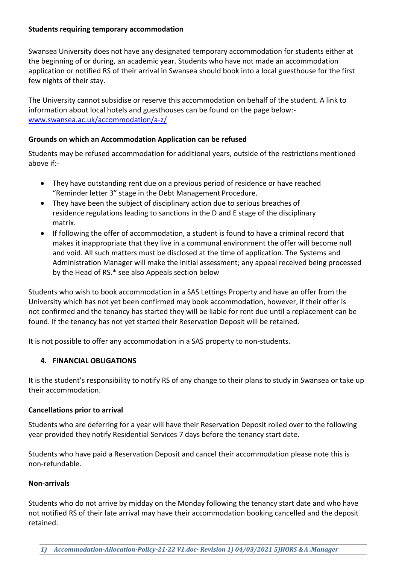#### **Students requiring temporary accommodation**

Swansea University does not have any designated temporary accommodation for students either at the beginning of or during, an academic year. Students who have not made an accommodation application or notified RS of their arrival in Swansea should book into a local guesthouse for the first few nights of their stay.

The University cannot subsidise or reserve this accommodation on behalf of the student. A link to information about local hotels and guesthouses can be found on the page below: [www.swansea.ac.uk/accommodation/a-z/](http://www.swansea.ac.uk/accommodation/a-z/)

#### **Grounds on which an Accommodation Application can be refused**

Students may be refused accommodation for additional years, outside of the restrictions mentioned above if:-

- They have outstanding rent due on a previous period of residence or have reached "Reminder letter 3" stage in the Debt Management Procedure.
- They have been the subject of disciplinary action due to serious breaches of residence regulations leading to sanctions in the D and E stage of the disciplinary matrix.
- If following the offer of accommodation, a student is found to have a criminal record that makes it inappropriate that they live in a communal environment the offer will become null and void. All such matters must be disclosed at the time of application. The Systems and Administration Manager will make the initial assessment; any appeal received being processed by the Head of RS.\* see also Appeals section below

Students who wish to book accommodation in a SAS Lettings Property and have an offer from the University which has not yet been confirmed may book accommodation, however, if their offer is not confirmed and the tenancy has started they will be liable for rent due until a replacement can be found. If the tenancy has not yet started their Reservation Deposit will be retained.

It is not possible to offer any accommodation in a SAS property to non-students.

#### <span id="page-9-0"></span>**4. FINANCIAL OBLIGATIONS**

It is the student's responsibility to notify RS of any change to their plans to study in Swansea or take up their accommodation.

#### **Cancellations prior to arrival**

Students who are deferring for a year will have their Reservation Deposit rolled over to the following year provided they notify Residential Services 7 days before the tenancy start date.

Students who have paid a Reservation Deposit and cancel their accommodation please note this is non-refundable.

#### **Non-arrivals**

Students who do not arrive by midday on the Monday following the tenancy start date and who have not notified RS of their late arrival may have their accommodation booking cancelled and the deposit retained.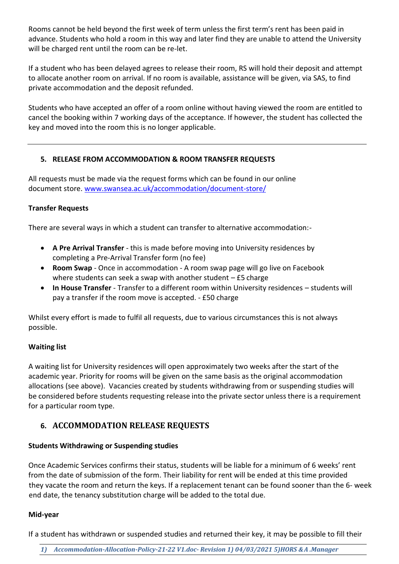Rooms cannot be held beyond the first week of term unless the first term's rent has been paid in advance. Students who hold a room in this way and later find they are unable to attend the University will be charged rent until the room can be re-let.

If a student who has been delayed agrees to release their room, RS will hold their deposit and attempt to allocate another room on arrival. If no room is available, assistance will be given, via SAS, to find private accommodation and the deposit refunded.

Students who have accepted an offer of a room online without having viewed the room are entitled to cancel the booking within 7 working days of the acceptance. If however, the student has collected the key and moved into the room this is no longer applicable.

#### <span id="page-10-0"></span>**5. RELEASE FROM ACCOMMODATION & ROOM TRANSFER REQUESTS**

All requests must be made via the request forms which can be found in our online document store. [www.swansea.ac.uk/accommodation/document-store/](http://www.swansea.ac.uk/accommodation/document-store/)

#### **Transfer Requests**

There are several ways in which a student can transfer to alternative accommodation:-

- **A Pre Arrival Transfer** this is made before moving into University residences by completing a Pre-Arrival Transfer form (no fee)
- **Room Swap**  Once in accommodation A room swap page will go live on Facebook where students can seek a swap with another student – £5 charge
- **In House Transfer**  Transfer to a different room within University residences students will pay a transfer if the room move is accepted. - £50 charge

Whilst every effort is made to fulfil all requests, due to various circumstances this is not always possible.

#### **Waiting list**

A waiting list for University residences will open approximately two weeks after the start of the academic year. Priority for rooms will be given on the same basis as the original accommodation allocations (see above). Vacancies created by students withdrawing from or suspending studies will be considered before students requesting release into the private sector unless there is a requirement for a particular room type.

## <span id="page-10-1"></span>**6. ACCOMMODATION RELEASE REQUESTS**

#### **Students Withdrawing or Suspending studies**

Once Academic Services confirms their status, students will be liable for a minimum of 6 weeks' rent from the date of submission of the form. Their liability for rent will be ended at this time provided they vacate the room and return the keys. If a replacement tenant can be found sooner than the 6- week end date, the tenancy substitution charge will be added to the total due.

#### **Mid-year**

If a student has withdrawn or suspended studies and returned their key, it may be possible to fill their